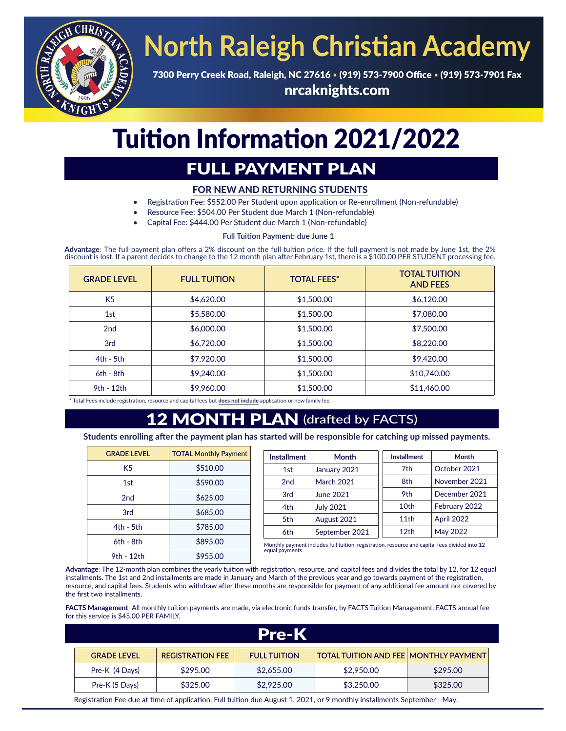

# **North Raleigh Christian Academy**

7300 Perry Creek Road, Raleigh, NC 27616 • (919) 573-7900 Office • (919) 573-7901 Fax nrcaknights.com

## Tuition Information 2021/2022

## FULL PAYMENT PLAN

### FOR NEW AND RETURNING STUDENTS

- Registration Fee: \$552.00 Per Student upon application or Re-enrollment (Non-refundable)
- Resource Fee: \$504.00 Per Student due March 1 (Non-refundable)
- Capital Fee: \$444.00 Per Student due March 1 (Non-refundable)

#### **Full Tuition Payment: due June 1**

**Advantage**: The full payment plan offers a 2% discount on the full tuition price. If the full payment is not made by June 1st, the 2% discount is lost. If a parent decides to change to the 12 month plan after February 1st, there is a \$100.00 PER STUDENT processing fee.

| <b>GRADE LEVEL</b> | <b>FULL TUITION</b> | <b>TOTAL FEES*</b> | <b>TOTAL TUITION</b><br><b>AND FEES</b> |
|--------------------|---------------------|--------------------|-----------------------------------------|
| K <sub>5</sub>     | \$4,620.00          | \$1,500.00         | \$6,120.00                              |
| 1st                | \$5,580.00          | \$1,500.00         | \$7,080.00                              |
| 2 <sub>nd</sub>    | \$6,000.00          | \$1,500.00         | \$7,500.00                              |
| 3rd                | \$6,720.00          | \$1,500.00         | \$8,220,00                              |
| $4th - 5th$        | \$7,920.00          | \$1,500.00         | \$9,420.00                              |
| $6th - 8th$        | \$9,240.00          | \$1,500.00         | \$10,740.00                             |
| 9th - 12th         | \$9,960.00          | \$1,500.00         | \$11,460.00                             |

\* Total Fees include registration, resource and capital fees but **does not include** application or new family fee.

### **MONTH PLAN** (drafted by FACTS)

**Students enrolling after the payment plan has started will be responsible for catching up missed payments.**

| <b>GRADE LEVEL</b> | <b>TOTAL Monthly Payment</b> | <b>Installment</b> | <b>Month</b>                                                                                   | <b>Installment</b> | <b>Month</b>  |  |  |
|--------------------|------------------------------|--------------------|------------------------------------------------------------------------------------------------|--------------------|---------------|--|--|
| K <sub>5</sub>     | \$510.00                     | 1st                | January 2021                                                                                   | 7th                | October 2021  |  |  |
| 1st                | \$590.00                     | 2 <sub>nd</sub>    | <b>March 2021</b>                                                                              | 8th                | November 2021 |  |  |
| 2nd                | \$625.00                     | 3rd                | June 2021                                                                                      | 9th                | December 2021 |  |  |
| 3rd                | \$685.00                     | 4th                | <b>July 2021</b>                                                                               | 10th               | February 2022 |  |  |
|                    |                              | 5th                | August 2021                                                                                    | 11th               | April 2022    |  |  |
| $4th - 5th$        | \$785.00                     | 6th                | September 2021                                                                                 | 12 <sub>th</sub>   | May 2022      |  |  |
| $6th - 8th$        | \$895.00                     |                    | Monthly payment includes full tuition, registration, resource and capital fees divided into 12 |                    |               |  |  |
|                    |                              |                    |                                                                                                |                    |               |  |  |

equal payments. 9th - 12th - \$955.00

**Advantage**: The 12-month plan combines the yearly tuition with registration, resource, and capital fees and divides the total by 12, for 12 equal installments. The 1st and 2nd installments are made in January and March of the previous year and go towards payment of the registration, resource, and capital fees. Students who withdraw after these months are responsible for payment of any additional fee amount not covered by the first two installments.

**FACTS Management**: All monthly tuition payments are made, via electronic funds transfer, by FACTS Tuition Management. FACTS annual fee for this service is \$45.00 PER FAMILY.

| <b>Pre-K</b>       |                         |                     |                                              |          |
|--------------------|-------------------------|---------------------|----------------------------------------------|----------|
| <b>GRADE LEVEL</b> | <b>REGISTRATION FEE</b> | <b>FULL TUITION</b> | <b>TOTAL TUITION AND FEE MONTHLY PAYMENT</b> |          |
| Pre-K (4 Days)     | \$295.00                | \$2,655.00          | \$2,950.00                                   | \$295.00 |
| Pre-K (5 Days)     | \$325.00                | \$2,925.00          | \$3,250,00                                   | \$325.00 |

Registration Fee due at time of application. Full tuition due August 1, 2021, or 9 monthly installments September - May. ì